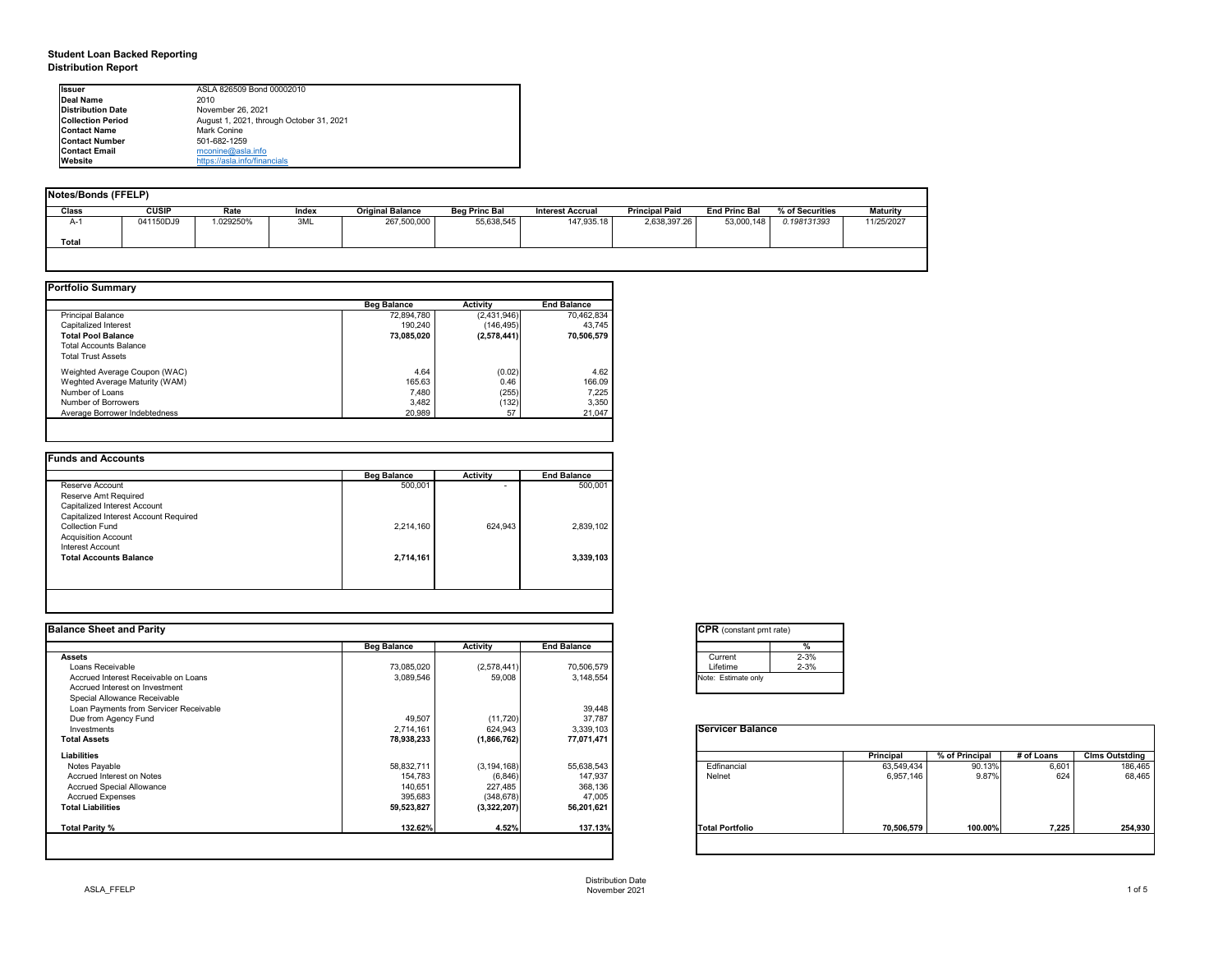# **Student Loan Backed Reporting Distribution Report**

|              | <b>Notes/Bonds (FFELP)</b> |         |       |                         |                      |                         |                       |                      |                 |                 |  |  |  |  |  |
|--------------|----------------------------|---------|-------|-------------------------|----------------------|-------------------------|-----------------------|----------------------|-----------------|-----------------|--|--|--|--|--|
| <b>Class</b> | <b>CUSIP</b>               | Rate    | Index | <b>Original Balance</b> | <b>Beg Princ Bal</b> | <b>Interest Accrual</b> | <b>Principal Paid</b> | <b>End Princ Bal</b> | % of Securities | <b>Maturity</b> |  |  |  |  |  |
| A-1          | 041150DJ9                  | 029250% | 3ML   | 267,500,000             | 55,638,545           | 147,935.18              | 2,638,397.26          | 53,000,148           | 0.198131393     | 11/25/2027      |  |  |  |  |  |
| <b>Total</b> |                            |         |       |                         |                      |                         |                       |                      |                 |                 |  |  |  |  |  |
|              |                            |         |       |                         |                      |                         |                       |                      |                 |                 |  |  |  |  |  |

|                                | <b>Beg Balance</b> | <b>Activity</b> | <b>End Balance</b> |
|--------------------------------|--------------------|-----------------|--------------------|
| <b>Principal Balance</b>       | 72,894,780         | (2,431,946)     | 70,462,834         |
| Capitalized Interest           | 190,240            | (146, 495)      | 43,745             |
| <b>Total Pool Balance</b>      | 73,085,020         | (2,578,441)     | 70,506,579         |
| <b>Total Accounts Balance</b>  |                    |                 |                    |
| <b>Total Trust Assets</b>      |                    |                 |                    |
| Weighted Average Coupon (WAC)  | 4.64               | (0.02)          | 4.62               |
| Weghted Average Maturity (WAM) | 165.63             | 0.46            | 166.09             |
| Number of Loans                | 7,480              | (255)           | 7,225              |
| Number of Borrowers            | 3,482              | (132)           | 3,350              |
| Average Borrower Indebtedness  | 20,989             | 57              | 21,047             |

|                                       |           |         | <b>End Balance</b> |
|---------------------------------------|-----------|---------|--------------------|
| Reserve Account                       | 500,001   | ۰       | 500,001            |
| Reserve Amt Required                  |           |         |                    |
| Capitalized Interest Account          |           |         |                    |
| Capitalized Interest Account Required |           |         |                    |
| <b>Collection Fund</b>                | 2,214,160 | 624,943 | 2,839,102          |
| <b>Acquisition Account</b>            |           |         |                    |
| Interest Account                      |           |         |                    |
| <b>Total Accounts Balance</b>         | 2,714,161 |         | 3,339,103          |

| <b>Ilssuer</b>            | ASLA 826509 Bond 00002010                |
|---------------------------|------------------------------------------|
| <b>IDeal Name</b>         | 2010                                     |
| <b>Distribution Date</b>  | November 26, 2021                        |
| <b>ICollection Period</b> | August 1, 2021, through October 31, 2021 |
| <b>IContact Name</b>      | Mark Conine                              |
| <b>IContact Number</b>    | 501-682-1259                             |
| <b>Contact Email</b>      | $m$ conine@asla.info                     |
| <b>IWebsite</b>           | https://asla.info/financials             |

| <b>Balance Sheet and Parity</b>        |                    |                 |                    | <b>CPR</b> (constant pmt rate) |                  |                |            |                       |
|----------------------------------------|--------------------|-----------------|--------------------|--------------------------------|------------------|----------------|------------|-----------------------|
|                                        | <b>Beg Balance</b> | <b>Activity</b> | <b>End Balance</b> | %                              |                  |                |            |                       |
| <b>Assets</b>                          |                    |                 |                    | $2 - 3%$<br>Current            |                  |                |            |                       |
| Loans Receivable                       | 73,085,020         | (2,578,441)     | 70,506,579         | $2 - 3%$<br>Lifetime           |                  |                |            |                       |
| Accrued Interest Receivable on Loans   | 3,089,546          | 59,008          | 3,148,554          | Note: Estimate only            |                  |                |            |                       |
| Accrued Interest on Investment         |                    |                 |                    |                                |                  |                |            |                       |
| Special Allowance Receivable           |                    |                 |                    |                                |                  |                |            |                       |
| Loan Payments from Servicer Receivable |                    |                 | 39,448             |                                |                  |                |            |                       |
| Due from Agency Fund                   | 49,507             | (11, 720)       | 37,787             |                                |                  |                |            |                       |
| Investments                            | 2,714,161          | 624,943         | 3,339,103          | <b>Servicer Balance</b>        |                  |                |            |                       |
| <b>Total Assets</b>                    | 78,938,233         | (1,866,762)     | 77,071,471         |                                |                  |                |            |                       |
| <b>Liabilities</b>                     |                    |                 |                    |                                | <b>Principal</b> | % of Principal | # of Loans | <b>Clms Outstding</b> |
| Notes Payable                          | 58,832,711         | (3, 194, 168)   | 55,638,543         | Edfinancial                    | 63,549,434       | 90.13%         | 6,601      | 186,465               |
| Accrued Interest on Notes              | 154,783            | (6, 846)        | 147,937            | Nelnet                         | 6,957,146        | 9.87%          | 624        | 68,465                |
| <b>Accrued Special Allowance</b>       | 140,651            | 227,485         | 368,136            |                                |                  |                |            |                       |
| <b>Accrued Expenses</b>                | 395,683            | (348, 678)      | 47,005             |                                |                  |                |            |                       |
| <b>Total Liabilities</b>               | 59,523,827         | (3,322,207)     | 56,201,621         |                                |                  |                |            |                       |
| Total Parity %                         | 132.62%            | 4.52%           | 137.13%            | <b>Total Portfolio</b>         | 70,506,579       | 100.00%        | 7,225      | 254,930               |
|                                        |                    |                 |                    |                                |                  |                |            |                       |



| Servicer  |  |
|-----------|--|
| Edfinanci |  |
| Nelnet    |  |
|           |  |
|           |  |
|           |  |

| tant pmt rate) |          |  |  |  |  |  |  |  |
|----------------|----------|--|--|--|--|--|--|--|
|                | %        |  |  |  |  |  |  |  |
|                | $2 - 3%$ |  |  |  |  |  |  |  |
|                | $2 - 3%$ |  |  |  |  |  |  |  |
| te only        |          |  |  |  |  |  |  |  |
|                |          |  |  |  |  |  |  |  |

|      | Principal  | % of Principal | # of Loans | <b>Clms Outstding</b> |
|------|------------|----------------|------------|-----------------------|
|      |            |                |            |                       |
| al   | 63,549,434 | 90.13%         | 6,601      | 186,465               |
|      | 6,957,146  | 9.87%          | 624        | 68,465                |
|      |            |                |            |                       |
| olio | 70,506,579 | 100.00%        | 7,225      | 254,930               |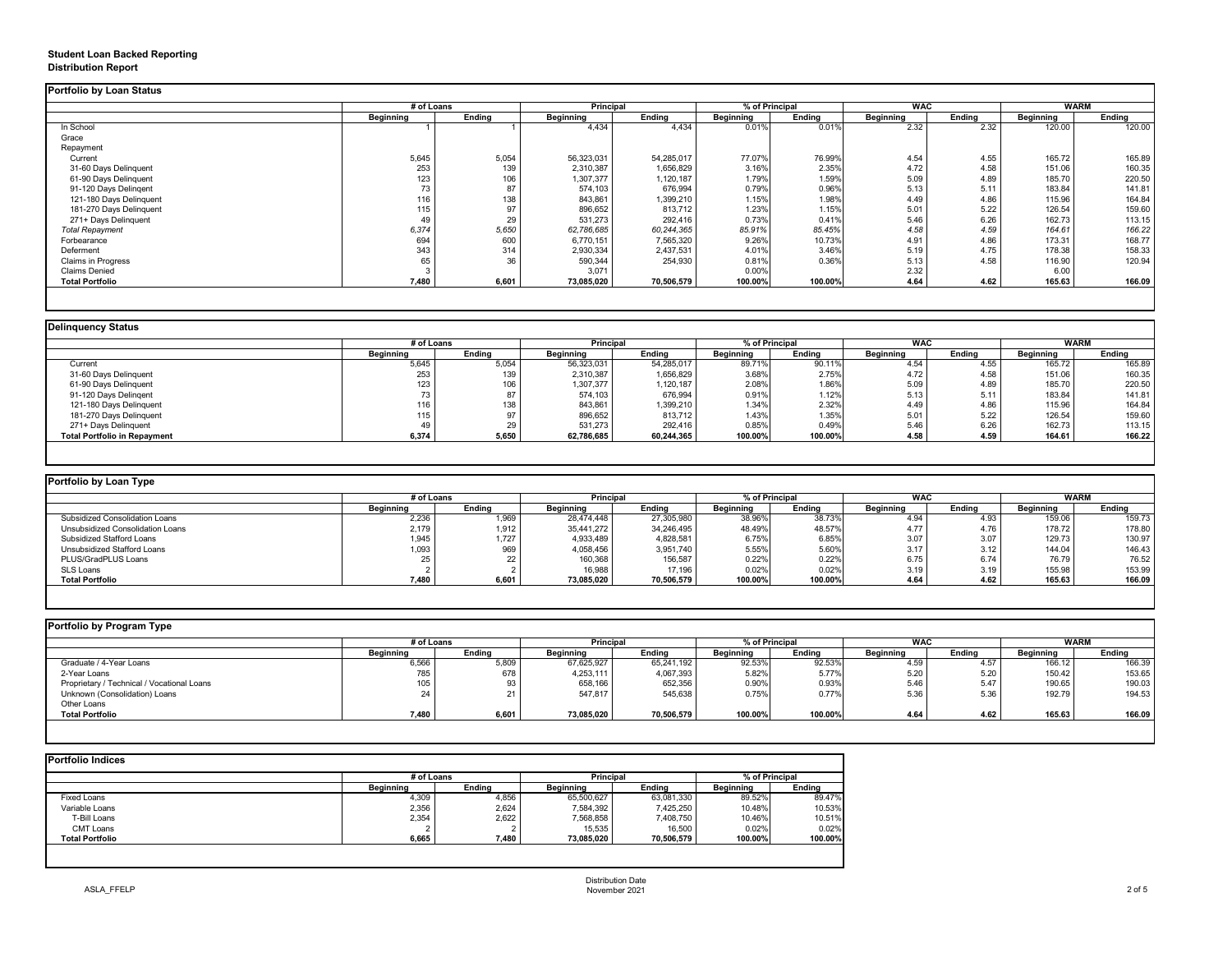# **Student Loan Backed Reporting Distribution Report**

### **Delinquency Status**

|                         |           | # of Loans    |                  | Principal     |                  | % of Principal |                  | <b>WAC</b>    |                  | <b>WARM</b>   |
|-------------------------|-----------|---------------|------------------|---------------|------------------|----------------|------------------|---------------|------------------|---------------|
|                         | Beginning | <b>Ending</b> | <b>Beginning</b> | <b>Ending</b> | <b>Beginning</b> | <b>Ending</b>  | <b>Beginning</b> | <b>Ending</b> | <b>Beginning</b> | <b>Ending</b> |
| In School               |           |               | 4,434            | 4,434         | 0.01%            | 0.01%          | 2.32             | 2.32          | 120.00           | 120.00        |
| Grace                   |           |               |                  |               |                  |                |                  |               |                  |               |
| Repayment               |           |               |                  |               |                  |                |                  |               |                  |               |
| Current                 | 5,645     | 5,054         | 56,323,031       | 54,285,017    | 77.07%           | 76.99%         | 4.54             | 4.55          | 165.72           | 165.89        |
| 31-60 Days Delinquent   | 253       | 139           | 2,310,387        | 1,656,829     | 3.16%            | 2.35%          | 4.72             | 4.58          | 151.06           | 160.35        |
| 61-90 Days Delinquent   | 123       | 106           | 1,307,377        | 1,120,187     | 1.79%            | 1.59%          | 5.09             | 4.89          | 185.70           | 220.50        |
| 91-120 Days Delingent   | 73        | 87            | 574,103          | 676,994       | 0.79%            | 0.96%          | 5.13             | 5.11          | 183.84           | 141.81        |
| 121-180 Days Delinquent | 116       | 138           | 843,861          | 1,399,210     | 1.15%            | 1.98%          | 4.49             | 4.86          | 115.96           | 164.84        |
| 181-270 Days Delinquent | 115       | 97            | 896,652          | 813,712       | 1.23%            | 1.15%          | 5.01             | 5.22          | 126.54           | 159.60        |
| 271+ Days Delinquent    | 49        | 29            | 531,273          | 292,416       | 0.73%            | 0.41%          | 5.46             | 6.26          | 162.73           | 113.15        |
| <b>Total Repayment</b>  | 6,374     | 5,650         | 62,786,685       | 60,244,365    | 85.91%           | 85.45%         | 4.58             | 4.59          | 164.61           | 166.22        |
| Forbearance             | 694       | 600           | 6,770,151        | 7,565,320     | 9.26%            | 10.73%         | 4.91             | 4.86          | 173.31           | 168.77        |
| Deferment               | 343       | 314           | 2,930,334        | 2,437,531     | 4.01%            | 3.46%          | 5.19             | 4.75          | 178.38           | 158.33        |
| Claims in Progress      | 65        | 36            | 590,344          | 254,930       | 0.81%            | 0.36%          | 5.13             | 4.58          | 116.90           | 120.94        |
| <b>Claims Denied</b>    |           |               | 3,071            |               | 0.00%            |                | 2.32             |               | 6.00             |               |
| <b>Total Portfolio</b>  | 7,480     | 6,601         | 73,085,020       | 70,506,579    | 100.00%          | 100.00%        | 4.64             | 4.62          | 165.63           | 166.09        |

|                                     |                  | # of Loans |                  | <b>Principal</b> |                  | % of Principal |                  | <b>WAC</b>    |                  | <b>WARM</b>   |
|-------------------------------------|------------------|------------|------------------|------------------|------------------|----------------|------------------|---------------|------------------|---------------|
|                                     | <b>Beginning</b> | Ending     | <b>Beginning</b> | <b>Ending</b>    | <b>Beginning</b> | <b>Ending</b>  | <b>Beginning</b> | <b>Ending</b> | <b>Beginning</b> | <b>Ending</b> |
| Current                             | 5,645            | 5,054      | 56,323,031       | 54,285,017       | 89.71%           | 90.11%         | 4.54             | 4.55          | 165.72           | 165.89        |
| 31-60 Days Delinquent               | 253              | 139        | 2,310,387        | 1,656,829        | 3.68%            | 2.75%          | 4.72             | 4.58          | 151.06           | 160.35        |
| 61-90 Days Delinquent               | 123              | 106        | 1,307,377        | 1,120,187        | 2.08%            | 1.86%          | 5.09             | 4.89          | 185.70           | 220.50        |
| 91-120 Days Delingent               |                  | 87         | 574,103          | 676,994          | 0.91%            | 1.12%          | 5.13             | 5.11          | 183.84           | 141.81        |
| 121-180 Days Delinquent             | 116              | 138        | 843,861          | 1,399,210        | 1.34%            | 2.32%          | 4.49             | 4.86          | 115.96           | 164.84        |
| 181-270 Days Delinquent             | 115              |            | 896,652          | 813,712          | 1.43%            | 1.35%          | 5.01             | 5.22          | 126.54           | 159.60        |
| 271+ Days Delinquent                |                  | 29         | 531,273          | 292,416          | 0.85%            | 0.49%          | 5.46             | 6.26          | 162.73           | 113.15        |
| <b>Total Portfolio in Repayment</b> | 6,374            | 5,650      | 62,786,685       | 60,244,365       | 100.00%          | 100.00%        | 4.58             | 4.59          | 164.61           | 166.22        |

| Portfolio by Loan Type                  |                  |               |                  |               |                  |               |                  |               |                  |               |
|-----------------------------------------|------------------|---------------|------------------|---------------|------------------|---------------|------------------|---------------|------------------|---------------|
|                                         | # of Loans       |               | <b>Principal</b> |               | % of Principal   |               | <b>WAC</b>       |               | WARM             |               |
|                                         | <b>Beginning</b> | <b>Ending</b> | <b>Beginning</b> | <b>Ending</b> | <b>Beginning</b> | <b>Ending</b> | <b>Beginning</b> | <b>Ending</b> | <b>Beginning</b> | <b>Ending</b> |
| <b>Subsidized Consolidation Loans</b>   | 2,236            | 1,969         | 28,474,448       | 27,305,980    | 38.96%           | 38.73%        | 4.94             | 4.93          | 159.06           | 159.73        |
| <b>Unsubsidized Consolidation Loans</b> | 2,179            | 1,912         | 35,441,272       | 34,246,495    | 48.49%           | 48.57%        | 4.77             | 4.76          | 178.72           | 178.80        |
| <b>Subsidized Stafford Loans</b>        | 1,945            | 1,727         | 4,933,489        | 4,828,581     | 6.75%            | 6.85%         | 3.07             | 3.07          | 129.73           | 130.97        |
| <b>Unsubsidized Stafford Loans</b>      | 1,093            | 969           | 4,058,456        | 3,951,740     | 5.55%            | 5.60%         | 3.17             | 3.12          | 144.04           | 146.43        |
| <b>PLUS/GradPLUS Loans</b>              |                  | 22            | 160,368          | 156,587       | 0.22%            | 0.22%         | 6.75             | 6.74          | 76.79            | 76.52         |
| SLS Loans                               |                  |               | 16,988           | 17,196        | 0.02%            | 0.02%         | 3.19             | 3.19          | 155.98           | 153.99        |
| <b>Total Portfolio</b>                  | 7,480            | 6,601         | 73,085,020       | 70,506,579    | 100.00%          | 100.00%       | 4.64             | 4.62          | 165.63           | 166.09        |

|  |  |  | Portfolio by Program Type |  |
|--|--|--|---------------------------|--|
|--|--|--|---------------------------|--|

| <b>Portfolio by Program Type</b>           |                  |               |                  |                  |                  |                |                  |               |                  |               |  |
|--------------------------------------------|------------------|---------------|------------------|------------------|------------------|----------------|------------------|---------------|------------------|---------------|--|
|                                            |                  | # of Loans    |                  | <b>Principal</b> |                  | % of Principal |                  | <b>WAC</b>    |                  | <b>WARM</b>   |  |
|                                            | <b>Beginning</b> | <b>Ending</b> | <b>Beginning</b> | <b>Ending</b>    | <b>Beginning</b> | <b>Ending</b>  | <b>Beginning</b> | <b>Ending</b> | <b>Beginning</b> | <b>Ending</b> |  |
| Graduate / 4-Year Loans                    | 6,566            | 5,809         | 67,625,927       | 65,241,192       | 92.53%           | 92.53%         | 4.59             | 4.57          | 166.12           | 166.39        |  |
| 2-Year Loans                               | 785              | 678           | 4,253,111        | 4,067,393        | 5.82%            | 5.77%          | 5.20             | 5.20          | 150.42           | 153.65        |  |
| Proprietary / Technical / Vocational Loans | 105              | 93            | 658,166          | 652,356          | 0.90%            | 0.93%          | 5.46             | 5.47          | 190.65           | 190.03        |  |
| Unknown (Consolidation) Loans              | 24               | 21            | 547,817          | 545,638          | 0.75%            | 0.77%          | 5.36             | 5.36          | 192.79           | 194.53        |  |
| Other Loans                                |                  |               |                  |                  |                  |                |                  |               |                  |               |  |
| <b>Total Portfolio</b>                     | 7,480            | 6,601         | 73,085,020       | 70,506,579       | 100.00%          | 100.00%        | 4.64             | 4.62          | 165.63           | 166.09        |  |
|                                            |                  |               |                  |                  |                  |                |                  |               |                  |               |  |

|                        |                  | # of Loans    |                  |               | % of Principal   |               |
|------------------------|------------------|---------------|------------------|---------------|------------------|---------------|
|                        | <b>Beginning</b> | <b>Ending</b> | <b>Beginning</b> | <b>Ending</b> | <b>Beginning</b> | <b>Ending</b> |
| <b>Fixed Loans</b>     | 4,309            | 4,856         | 65,500,627       | 63,081,330    | 89.52%           | 89.47%        |
| Variable Loans         | 2,356            | 2,624         | 7,584,392        | 7,425,250     | 10.48%           | 10.53%        |
| T-Bill Loans           | 2,354            | 2,622         | 7,568,858        | 7,408,750     | 10.46%           | 10.51%        |
| <b>CMT Loans</b>       |                  |               | 15,535           | 16,500        | 0.02%            | 0.02%         |
| <b>Total Portfolio</b> | 6,665            | 7,480         | 73,085,020       | 70,506,579    | 100.00%          | 100.00%       |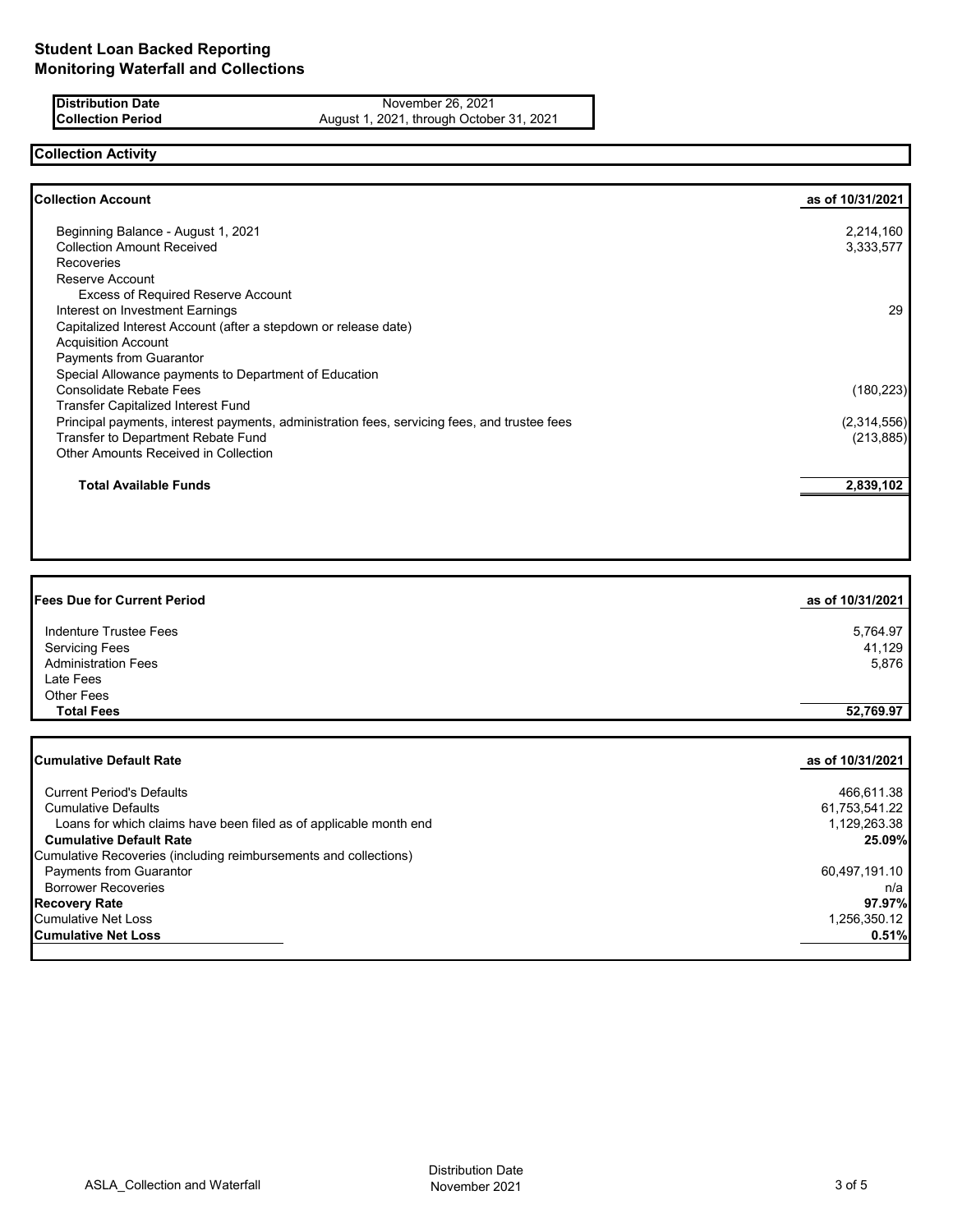**Distribution Date** November 26, 2021<br>**Collection Period** August 1, 2021, through Octobe **Collection Period** August 1, 2021, through October 31, 2021

## **Collection Activity**

| <b>Collection Account</b>                                                                    | as of 10/31/2021 |
|----------------------------------------------------------------------------------------------|------------------|
| Beginning Balance - August 1, 2021                                                           | 2,214,160        |
| <b>Collection Amount Received</b>                                                            | 3,333,577        |
| <b>Recoveries</b>                                                                            |                  |
| Reserve Account                                                                              |                  |
| <b>Excess of Required Reserve Account</b>                                                    |                  |
| Interest on Investment Earnings                                                              | 29               |
| Capitalized Interest Account (after a stepdown or release date)                              |                  |
| <b>Acquisition Account</b>                                                                   |                  |
| Payments from Guarantor                                                                      |                  |
| Special Allowance payments to Department of Education                                        |                  |
| <b>Consolidate Rebate Fees</b>                                                               | (180, 223)       |
| <b>Transfer Capitalized Interest Fund</b>                                                    |                  |
| Principal payments, interest payments, administration fees, servicing fees, and trustee fees | (2,314,556)      |
| Transfer to Department Rebate Fund                                                           | (213, 885)       |
| Other Amounts Received in Collection                                                         |                  |
| <b>Total Available Funds</b>                                                                 | 2,839,102        |
|                                                                                              |                  |

| <b>Fees Due for Current Period</b> | as of 10/31/2021 |
|------------------------------------|------------------|
| <b>Indenture Trustee Fees</b>      | 5,764.97         |
| <b>Servicing Fees</b>              | 41,129           |
| <b>Administration Fees</b>         | 5,876            |
| Late Fees                          |                  |
| Other Fees                         |                  |
| <b>Total Fees</b>                  | 52,769.97        |
| <b>Cumulative Default Rate</b>     | as of 10/31/2021 |
| <b>Current Period's Defaults</b>   | 466,611.38       |

| <b>Current Period's Defaults</b>                                  | 466,611.38    |
|-------------------------------------------------------------------|---------------|
| <b>Cumulative Defaults</b>                                        | 61,753,541.22 |
| Loans for which claims have been filed as of applicable month end | 1,129,263.38  |
| <b>Cumulative Default Rate</b>                                    | 25.09%        |
| Cumulative Recoveries (including reimbursements and collections)  |               |
| <b>Payments from Guarantor</b>                                    | 60,497,191.10 |
| <b>Borrower Recoveries</b>                                        | n/a           |
| <b>Recovery Rate</b>                                              | 97.97%        |
| Cumulative Net Loss                                               | 1,256,350.12  |
| <b>Cumulative Net Loss</b>                                        | 0.51%         |
|                                                                   |               |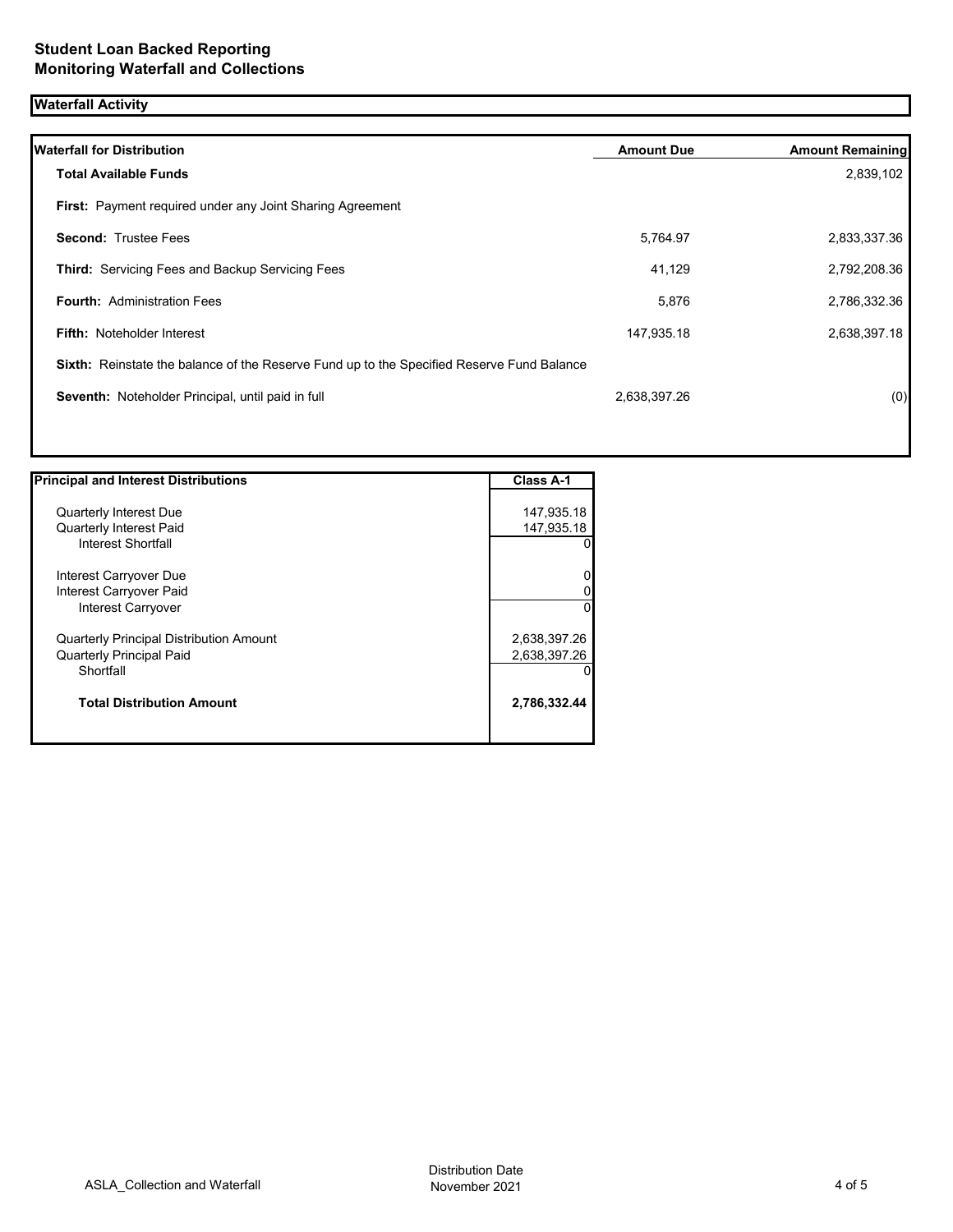# **Waterfall Activity**

| <b>Waterfall for Distribution</b>                                                         | <b>Amount Due</b> | <b>Amount Remaining</b> |
|-------------------------------------------------------------------------------------------|-------------------|-------------------------|
| <b>Total Available Funds</b>                                                              |                   | 2,839,102               |
| First: Payment required under any Joint Sharing Agreement                                 |                   |                         |
| <b>Second: Trustee Fees</b>                                                               | 5,764.97          | 2,833,337.36            |
| <b>Third: Servicing Fees and Backup Servicing Fees</b>                                    | 41,129            | 2,792,208.36            |
| <b>Fourth: Administration Fees</b>                                                        | 5,876             | 2,786,332.36            |
| <b>Fifth: Noteholder Interest</b>                                                         | 147,935.18        | 2,638,397.18            |
| Sixth: Reinstate the balance of the Reserve Fund up to the Specified Reserve Fund Balance |                   |                         |
| Seventh: Noteholder Principal, until paid in full                                         | 2,638,397.26      | (0)                     |

| <b>Principal and Interest Distributions</b> | <b>Class A-1</b> |
|---------------------------------------------|------------------|
|                                             |                  |
| <b>Quarterly Interest Due</b>               | 147,935.18       |
| <b>Quarterly Interest Paid</b>              | 147,935.18       |
| Interest Shortfall                          | 0                |
| Interest Carryover Due                      | 0                |
| Interest Carryover Paid                     | 0                |
| Interest Carryover                          | $\Omega$         |
| Quarterly Principal Distribution Amount     | 2,638,397.26     |
| <b>Quarterly Principal Paid</b>             | 2,638,397.26     |
| Shortfall                                   | 0                |
| <b>Total Distribution Amount</b>            | 2,786,332.44     |
|                                             |                  |